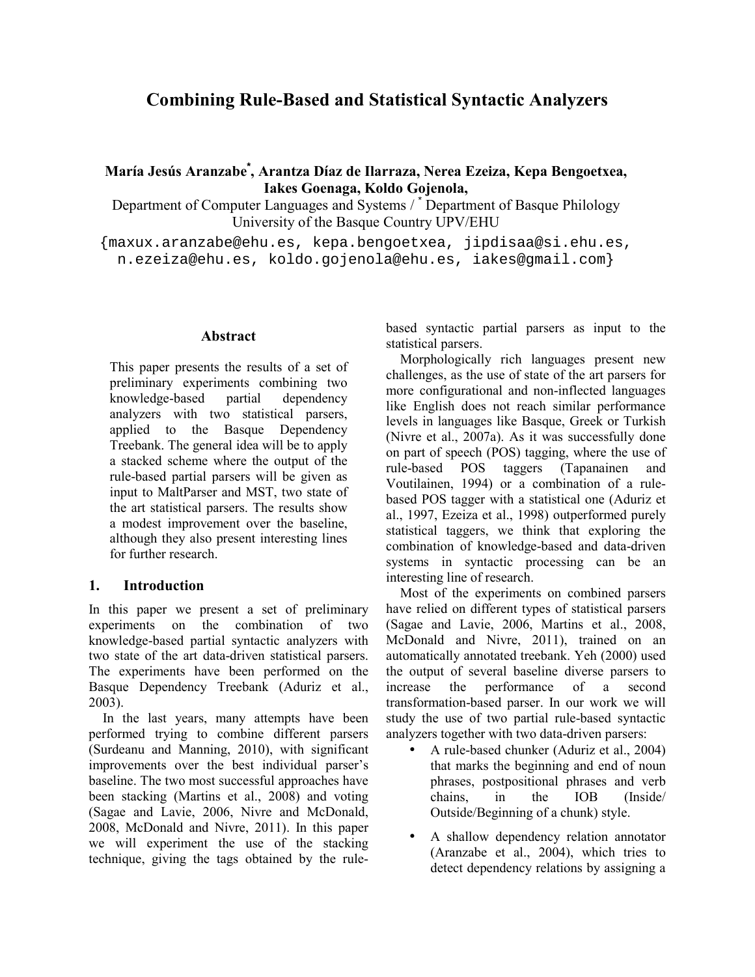# **Combining Rule-Based and Statistical Syntactic Analyzers**

# **María Jesús Aranzabe\* , Arantza Díaz de Ilarraza, Nerea Ezeiza, Kepa Bengoetxea, Iakes Goenaga, Koldo Gojenola,**

Department of Computer Languages and Systems / \* Department of Basque Philology University of the Basque Country UPV/EHU

{maxux.aranzabe@ehu.es, kepa.bengoetxea, jipdisaa@si.ehu.es, n.ezeiza@ehu.es, koldo.gojenola@ehu.es, iakes@gmail.com}

#### **Abstract**

This paper presents the results of a set of preliminary experiments combining two knowledge-based partial dependency analyzers with two statistical parsers, applied to the Basque Dependency Treebank. The general idea will be to apply a stacked scheme where the output of the rule-based partial parsers will be given as input to MaltParser and MST, two state of the art statistical parsers. The results show a modest improvement over the baseline, although they also present interesting lines for further research.

# **1. Introduction**

In this paper we present a set of preliminary experiments on the combination of two knowledge-based partial syntactic analyzers with two state of the art data-driven statistical parsers. The experiments have been performed on the Basque Dependency Treebank (Aduriz et al., 2003).

In the last years, many attempts have been performed trying to combine different parsers (Surdeanu and Manning, 2010), with significant improvements over the best individual parser's baseline. The two most successful approaches have been stacking (Martins et al., 2008) and voting (Sagae and Lavie, 2006, Nivre and McDonald, 2008, McDonald and Nivre, 2011). In this paper we will experiment the use of the stacking technique, giving the tags obtained by the rulebased syntactic partial parsers as input to the statistical parsers.

Morphologically rich languages present new challenges, as the use of state of the art parsers for more configurational and non-inflected languages like English does not reach similar performance levels in languages like Basque, Greek or Turkish (Nivre et al., 2007a). As it was successfully done on part of speech (POS) tagging, where the use of rule-based POS taggers (Tapanainen and Voutilainen, 1994) or a combination of a rulebased POS tagger with a statistical one (Aduriz et al., 1997, Ezeiza et al., 1998) outperformed purely statistical taggers, we think that exploring the combination of knowledge-based and data-driven systems in syntactic processing can be an interesting line of research.

Most of the experiments on combined parsers have relied on different types of statistical parsers (Sagae and Lavie, 2006, Martins et al., 2008, McDonald and Nivre, 2011), trained on an automatically annotated treebank. Yeh (2000) used the output of several baseline diverse parsers to increase the performance of a second transformation-based parser. In our work we will study the use of two partial rule-based syntactic analyzers together with two data-driven parsers:

- A rule-based chunker (Aduriz et al., 2004) that marks the beginning and end of noun phrases, postpositional phrases and verb chains, in the IOB (Inside/ Outside/Beginning of a chunk) style.
- A shallow dependency relation annotator (Aranzabe et al., 2004), which tries to detect dependency relations by assigning a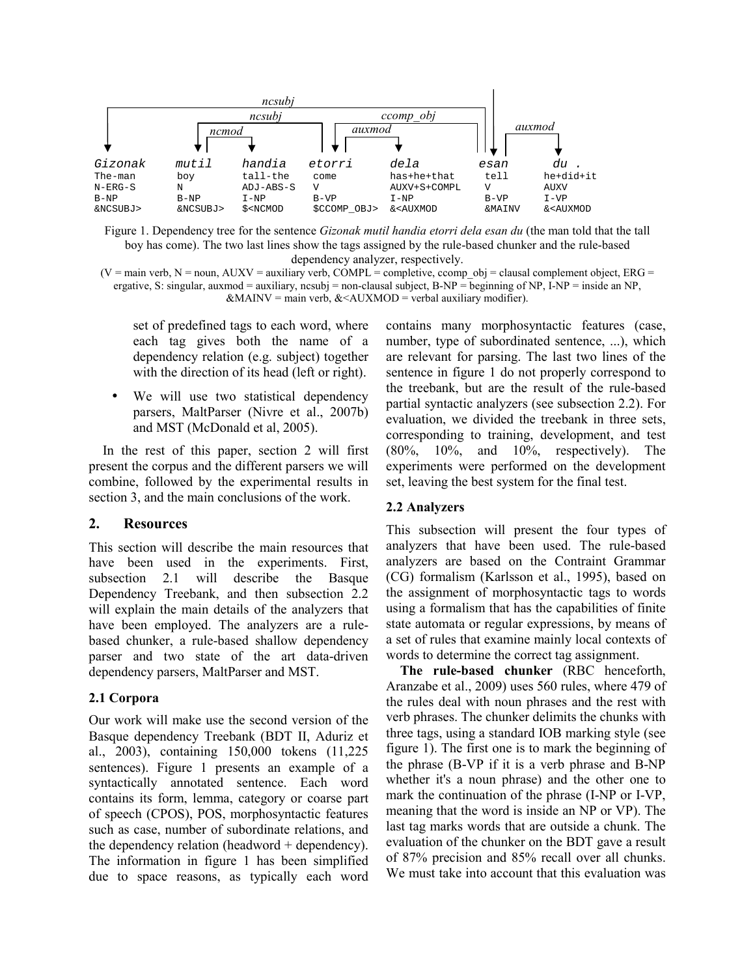

Figure 1. Dependency tree for the sentence *Gizonak mutil handia etorri dela esan du* (the man told that the tall boy has come). The two last lines show the tags assigned by the rule-based chunker and the rule-based dependency analyzer, respectively.

 $(V = \text{main verb}, N = \text{noun}, AUXV = \text{auxiliary verb}, COMPL = \text{complete}, \text{comp} \text{ obj} = \text{classal complement object}, ERG = \text{true}$ ergative, S: singular, auxmod = auxiliary, ncsubj = non-clausal subject, B-NP = beginning of NP, I-NP = inside an NP,  $\&$ MAINV = main verb,  $&$   $\&$ AUXMOD = verbal auxiliary modifier).

set of predefined tags to each word, where each tag gives both the name of a dependency relation (e.g. subject) together with the direction of its head (left or right).

• We will use two statistical dependency parsers, MaltParser (Nivre et al., 2007b) and MST (McDonald et al, 2005).

In the rest of this paper, section 2 will first present the corpus and the different parsers we will combine, followed by the experimental results in section 3, and the main conclusions of the work.

# **2. Resources**

This section will describe the main resources that have been used in the experiments. First, subsection 2.1 will describe the Basque Dependency Treebank, and then subsection 2.2 will explain the main details of the analyzers that have been employed. The analyzers are a rulebased chunker, a rule-based shallow dependency parser and two state of the art data-driven dependency parsers, MaltParser and MST.

# **2.1 Corpora**

Our work will make use the second version of the Basque dependency Treebank (BDT II, Aduriz et al., 2003), containing 150,000 tokens (11,225 sentences). Figure 1 presents an example of a syntactically annotated sentence. Each word contains its form, lemma, category or coarse part of speech (CPOS), POS, morphosyntactic features such as case, number of subordinate relations, and the dependency relation (headword + dependency). The information in figure 1 has been simplified due to space reasons, as typically each word

contains many morphosyntactic features (case, number, type of subordinated sentence, ...), which are relevant for parsing. The last two lines of the sentence in figure 1 do not properly correspond to the treebank, but are the result of the rule-based partial syntactic analyzers (see subsection 2.2). For evaluation, we divided the treebank in three sets, corresponding to training, development, and test  $(80\%, 10\%, \text{and} 10\%, \text{respectively})$ . The experiments were performed on the development set, leaving the best system for the final test.

#### **2.2 Analyzers**

This subsection will present the four types of analyzers that have been used. The rule-based analyzers are based on the Contraint Grammar (CG) formalism (Karlsson et al., 1995), based on the assignment of morphosyntactic tags to words using a formalism that has the capabilities of finite state automata or regular expressions, by means of a set of rules that examine mainly local contexts of words to determine the correct tag assignment.

**The rule-based chunker** (RBC henceforth, Aranzabe et al., 2009) uses 560 rules, where 479 of the rules deal with noun phrases and the rest with verb phrases. The chunker delimits the chunks with three tags, using a standard IOB marking style (see figure 1). The first one is to mark the beginning of the phrase (B-VP if it is a verb phrase and B-NP whether it's a noun phrase) and the other one to mark the continuation of the phrase (I-NP or I-VP, meaning that the word is inside an NP or VP). The last tag marks words that are outside a chunk. The evaluation of the chunker on the BDT gave a result of 87% precision and 85% recall over all chunks. We must take into account that this evaluation was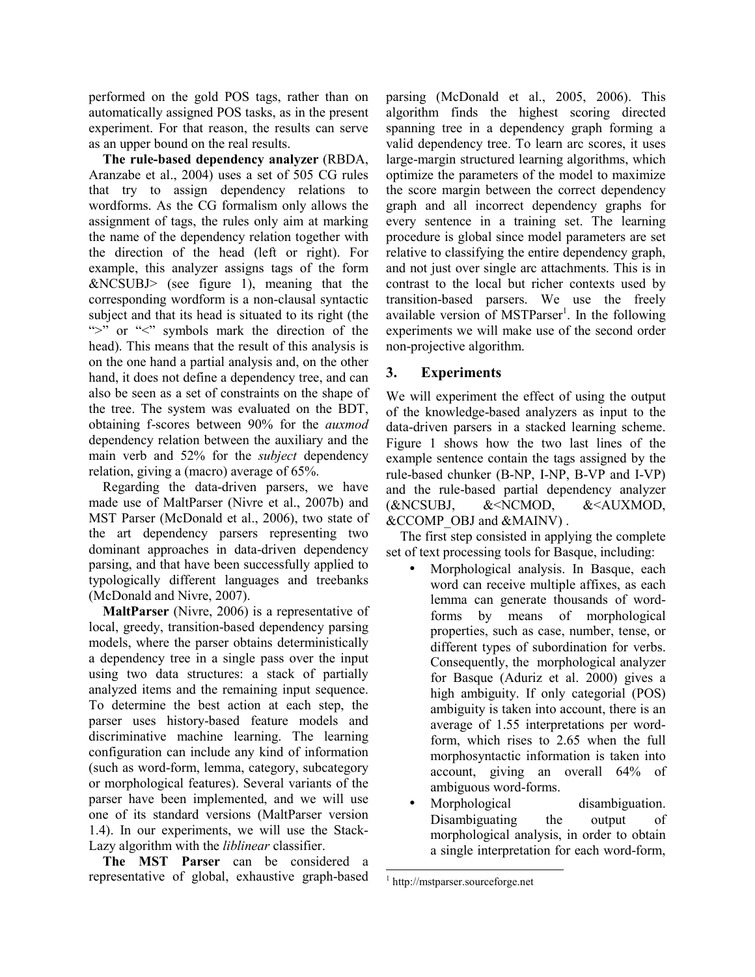performed on the gold POS tags, rather than on automatically assigned POS tasks, as in the present experiment. For that reason, the results can serve as an upper bound on the real results.

**The rule-based dependency analyzer** (RBDA, Aranzabe et al., 2004) uses a set of 505 CG rules that try to assign dependency relations to wordforms. As the CG formalism only allows the assignment of tags, the rules only aim at marking the name of the dependency relation together with the direction of the head (left or right). For example, this analyzer assigns tags of the form &NCSUBJ> (see figure 1), meaning that the corresponding wordform is a non-clausal syntactic subject and that its head is situated to its right (the ">" or "<" symbols mark the direction of the head). This means that the result of this analysis is on the one hand a partial analysis and, on the other hand, it does not define a dependency tree, and can also be seen as a set of constraints on the shape of the tree. The system was evaluated on the BDT, obtaining f-scores between 90% for the *auxmod* dependency relation between the auxiliary and the main verb and 52% for the *subject* dependency relation, giving a (macro) average of 65%.

Regarding the data-driven parsers, we have made use of MaltParser (Nivre et al., 2007b) and MST Parser (McDonald et al., 2006), two state of the art dependency parsers representing two dominant approaches in data-driven dependency parsing, and that have been successfully applied to typologically different languages and treebanks (McDonald and Nivre, 2007).

**MaltParser** (Nivre, 2006) is a representative of local, greedy, transition-based dependency parsing models, where the parser obtains deterministically a dependency tree in a single pass over the input using two data structures: a stack of partially analyzed items and the remaining input sequence. To determine the best action at each step, the parser uses history-based feature models and discriminative machine learning. The learning configuration can include any kind of information (such as word-form, lemma, category, subcategory or morphological features). Several variants of the parser have been implemented, and we will use one of its standard versions (MaltParser version 1.4). In our experiments, we will use the Stack-Lazy algorithm with the *liblinear* classifier.

**The MST Parser** can be considered a representative of global, exhaustive graph-based parsing (McDonald et al., 2005, 2006). This algorithm finds the highest scoring directed spanning tree in a dependency graph forming a valid dependency tree. To learn arc scores, it uses large-margin structured learning algorithms, which optimize the parameters of the model to maximize the score margin between the correct dependency graph and all incorrect dependency graphs for every sentence in a training set. The learning procedure is global since model parameters are set relative to classifying the entire dependency graph, and not just over single arc attachments. This is in contrast to the local but richer contexts used by transition-based parsers. We use the freely available version of MSTParser<sup>1</sup>. In the following experiments we will make use of the second order non-projective algorithm.

# **3. Experiments**

We will experiment the effect of using the output of the knowledge-based analyzers as input to the data-driven parsers in a stacked learning scheme. Figure 1 shows how the two last lines of the example sentence contain the tags assigned by the rule-based chunker (B-NP, I-NP, B-VP and I-VP) and the rule-based partial dependency analyzer (&NCSUBJ, &<NCMOD, &<AUXMOD, &CCOMP\_OBJ and &MAINV) .

The first step consisted in applying the complete set of text processing tools for Basque, including:

- Morphological analysis. In Basque, each word can receive multiple affixes, as each lemma can generate thousands of wordforms by means of morphological properties, such as case, number, tense, or different types of subordination for verbs. Consequently, the morphological analyzer for Basque (Aduriz et al. 2000) gives a high ambiguity. If only categorial (POS) ambiguity is taken into account, there is an average of 1.55 interpretations per wordform, which rises to 2.65 when the full morphosyntactic information is taken into account, giving an overall 64% of ambiguous word-forms.
- Morphological disambiguation. Disambiguating the output of morphological analysis, in order to obtain a single interpretation for each word-form,

 $\overline{a}$ 1 http://mstparser.sourceforge.net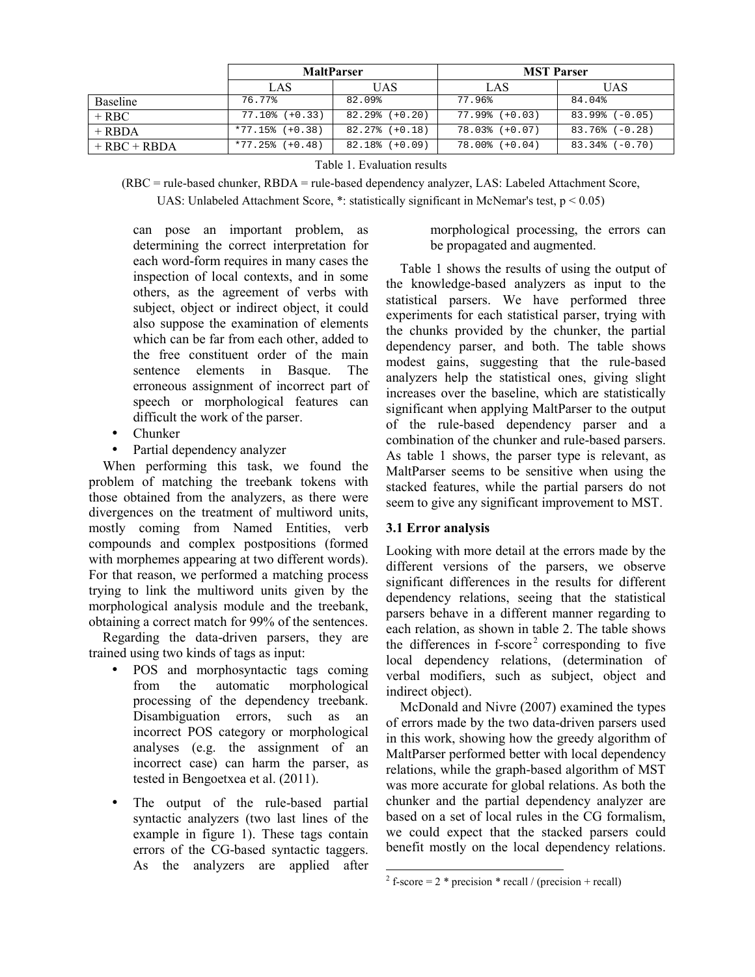|                |                  | <b>MaltParser</b>   | <b>MST Parser</b>   |                     |  |
|----------------|------------------|---------------------|---------------------|---------------------|--|
|                | LAS              | UAS                 | LAS                 | <b>UAS</b>          |  |
| Baseline       | 76.77%           | 82.09%              | 77.96%              | 84.04%              |  |
| $+$ RBC        | $77.10$ (+0.33)  | $82.29$ (+0.20)     | $77.99% (+0.03)$    | $83.99% (-0.05)$    |  |
| $+$ RBDA       | $*77.15$ (+0.38) | $82.27\%$ $(+0.18)$ | $78.03$ (+0.07)     | $83.76%(-0.28)$     |  |
| $+ RBC + RBDA$ | $*77.25$ (+0.48) | $82.18\%$ $(+0.09)$ | $78.00$ % $(+0.04)$ | $83.34\%$ $(-0.70)$ |  |

Table 1. Evaluation results

(RBC = rule-based chunker, RBDA = rule-based dependency analyzer, LAS: Labeled Attachment Score, UAS: Unlabeled Attachment Score,  $*$ : statistically significant in McNemar's test,  $p < 0.05$ )

can pose an important problem, as determining the correct interpretation for each word-form requires in many cases the inspection of local contexts, and in some others, as the agreement of verbs with subject, object or indirect object, it could also suppose the examination of elements which can be far from each other, added to the free constituent order of the main sentence elements in Basque. The erroneous assignment of incorrect part of speech or morphological features can difficult the work of the parser.

- Chunker
- Partial dependency analyzer

When performing this task, we found the problem of matching the treebank tokens with those obtained from the analyzers, as there were divergences on the treatment of multiword units, mostly coming from Named Entities, verb compounds and complex postpositions (formed with morphemes appearing at two different words). For that reason, we performed a matching process trying to link the multiword units given by the morphological analysis module and the treebank, obtaining a correct match for 99% of the sentences.

Regarding the data-driven parsers, they are trained using two kinds of tags as input:

- POS and morphosyntactic tags coming from the automatic morphological processing of the dependency treebank. Disambiguation errors, such as an incorrect POS category or morphological analyses (e.g. the assignment of an incorrect case) can harm the parser, as tested in Bengoetxea et al. (2011).
- The output of the rule-based partial syntactic analyzers (two last lines of the example in figure 1). These tags contain errors of the CG-based syntactic taggers. As the analyzers are applied after

morphological processing, the errors can be propagated and augmented.

Table 1 shows the results of using the output of the knowledge-based analyzers as input to the statistical parsers. We have performed three experiments for each statistical parser, trying with the chunks provided by the chunker, the partial dependency parser, and both. The table shows modest gains, suggesting that the rule-based analyzers help the statistical ones, giving slight increases over the baseline, which are statistically significant when applying MaltParser to the output of the rule-based dependency parser and a combination of the chunker and rule-based parsers. As table 1 shows, the parser type is relevant, as MaltParser seems to be sensitive when using the stacked features, while the partial parsers do not seem to give any significant improvement to MST.

# **3.1 Error analysis**

Looking with more detail at the errors made by the different versions of the parsers, we observe significant differences in the results for different dependency relations, seeing that the statistical parsers behave in a different manner regarding to each relation, as shown in table 2. The table shows the differences in  $f-score<sup>2</sup>$  corresponding to five local dependency relations, (determination of verbal modifiers, such as subject, object and indirect object).

McDonald and Nivre (2007) examined the types of errors made by the two data-driven parsers used in this work, showing how the greedy algorithm of MaltParser performed better with local dependency relations, while the graph-based algorithm of MST was more accurate for global relations. As both the chunker and the partial dependency analyzer are based on a set of local rules in the CG formalism, we could expect that the stacked parsers could benefit mostly on the local dependency relations.

 $2 f$ -score = 2 \* precision \* recall / (precision + recall)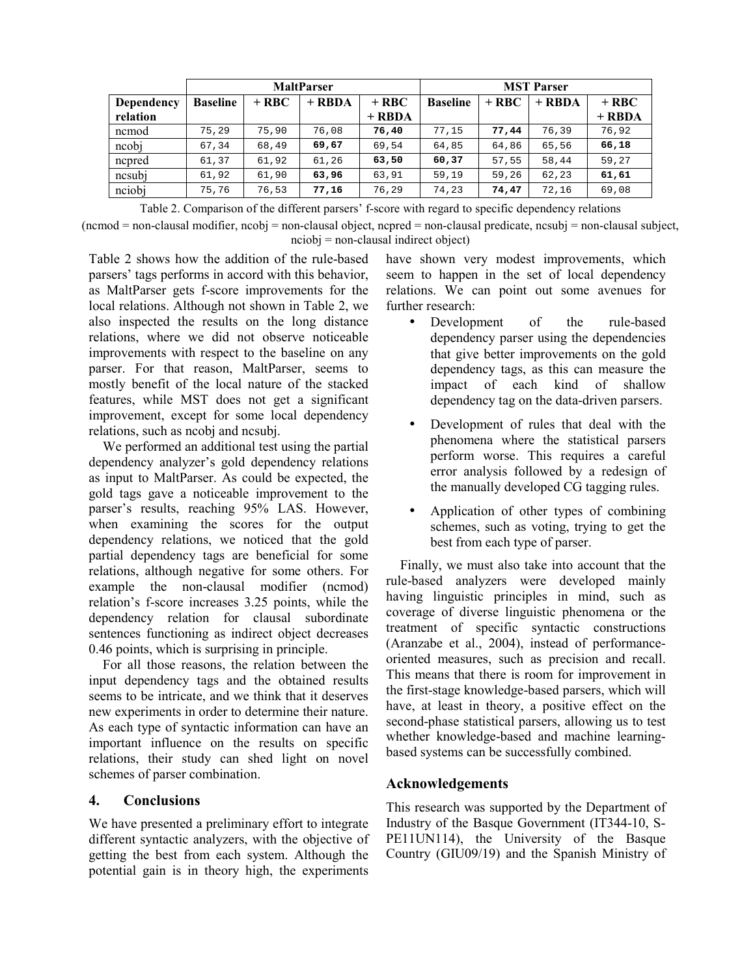|            | <b>MaltParser</b> |         |          |          | <b>MST Parser</b> |         |          |          |
|------------|-------------------|---------|----------|----------|-------------------|---------|----------|----------|
| Dependency | <b>Baseline</b>   | $+$ RBC | $+$ RBDA | $+$ RBC  | <b>Baseline</b>   | $+$ RBC | $+$ RBDA | $+$ RBC  |
| relation   |                   |         |          | $+$ RBDA |                   |         |          | $+$ RBDA |
| ncmod      | 75,29             | 75,90   | 76,08    | 76,40    | 77.15             | 77,44   | 76,39    | 76,92    |
| ncobj      | 67,34             | 68,49   | 69,67    | 69,54    | 64,85             | 64,86   | 65,56    | 66,18    |
| ncpred     | 61,37             | 61,92   | 61,26    | 63,50    | 60,37             | 57,55   | 58,44    | 59,27    |
| ncsubj     | 61,92             | 61,90   | 63,96    | 63,91    | 59,19             | 59,26   | 62,23    | 61,61    |
| nciobj     | 75,76             | 76,53   | 77,16    | 76,29    | 74,23             | 74,47   | 72,16    | 69,08    |

Table 2. Comparison of the different parsers' f-score with regard to specific dependency relations

 $(ncmod = non-clausal modifier, ncob) = non-clausal object, ncpred = non-clausal predicate, ncsub) = non-clausal subject,$ nciobj = non-clausal indirect object)

Table 2 shows how the addition of the rule-based parsers' tags performs in accord with this behavior, as MaltParser gets f-score improvements for the local relations. Although not shown in Table 2, we also inspected the results on the long distance relations, where we did not observe noticeable improvements with respect to the baseline on any parser. For that reason, MaltParser, seems to mostly benefit of the local nature of the stacked features, while MST does not get a significant improvement, except for some local dependency relations, such as ncobj and ncsubj.

We performed an additional test using the partial dependency analyzer's gold dependency relations as input to MaltParser. As could be expected, the gold tags gave a noticeable improvement to the parser's results, reaching 95% LAS. However, when examining the scores for the output dependency relations, we noticed that the gold partial dependency tags are beneficial for some relations, although negative for some others. For example the non-clausal modifier (ncmod) relation's f-score increases 3.25 points, while the dependency relation for clausal subordinate sentences functioning as indirect object decreases 0.46 points, which is surprising in principle.

For all those reasons, the relation between the input dependency tags and the obtained results seems to be intricate, and we think that it deserves new experiments in order to determine their nature. As each type of syntactic information can have an important influence on the results on specific relations, their study can shed light on novel schemes of parser combination.

# **4. Conclusions**

We have presented a preliminary effort to integrate different syntactic analyzers, with the objective of getting the best from each system. Although the potential gain is in theory high, the experiments have shown very modest improvements, which seem to happen in the set of local dependency relations. We can point out some avenues for further research:

- Development of the rule-based dependency parser using the dependencies that give better improvements on the gold dependency tags, as this can measure the impact of each kind of shallow dependency tag on the data-driven parsers.
- Development of rules that deal with the phenomena where the statistical parsers perform worse. This requires a careful error analysis followed by a redesign of the manually developed CG tagging rules.
- Application of other types of combining schemes, such as voting, trying to get the best from each type of parser.

Finally, we must also take into account that the rule-based analyzers were developed mainly having linguistic principles in mind, such as coverage of diverse linguistic phenomena or the treatment of specific syntactic constructions (Aranzabe et al., 2004), instead of performanceoriented measures, such as precision and recall. This means that there is room for improvement in the first-stage knowledge-based parsers, which will have, at least in theory, a positive effect on the second-phase statistical parsers, allowing us to test whether knowledge-based and machine learningbased systems can be successfully combined.

# **Acknowledgements**

This research was supported by the Department of Industry of the Basque Government (IT344-10, S-PE11UN114), the University of the Basque Country (GIU09/19) and the Spanish Ministry of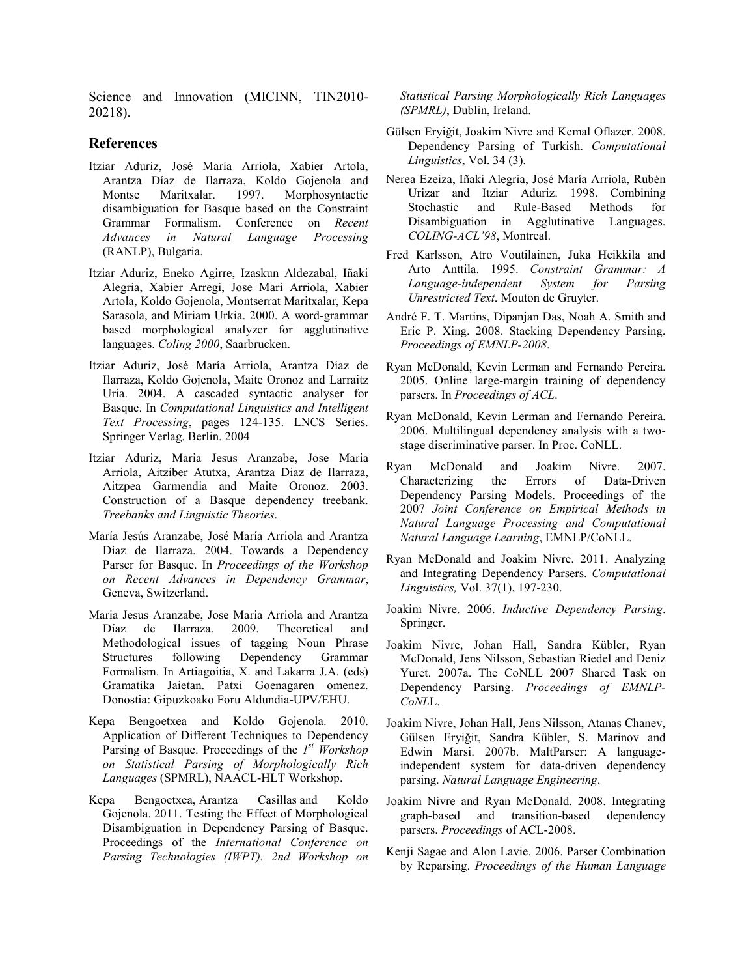Science and Innovation (MICINN, TIN2010-20218).

#### **References**

- Itziar Aduriz, José María Arriola, Xabier Artola, Arantza Díaz de Ilarraza, Koldo Gojenola and Montse Maritxalar. 1997. Morphosyntactic disambiguation for Basque based on the Constraint Grammar Formalism. Conference on *Recent Advances in Natural Language Processing* (RANLP), Bulgaria.
- Itziar Aduriz, Eneko Agirre, Izaskun Aldezabal, Iñaki Alegria, Xabier Arregi, Jose Mari Arriola, Xabier Artola, Koldo Gojenola, Montserrat Maritxalar, Kepa Sarasola, and Miriam Urkia. 2000. A word-grammar based morphological analyzer for agglutinative languages. *Coling 2000*, Saarbrucken.
- Itziar Aduriz, José María Arriola, Arantza Díaz de Ilarraza, Koldo Gojenola, Maite Oronoz and Larraitz Uria. 2004. A cascaded syntactic analyser for Basque. In *Computational Linguistics and Intelligent Text Processing*, pages 124-135. LNCS Series. Springer Verlag. Berlin. 2004
- Itziar Aduriz, Maria Jesus Aranzabe, Jose Maria Arriola, Aitziber Atutxa, Arantza Diaz de Ilarraza, Aitzpea Garmendia and Maite Oronoz. 2003. Construction of a Basque dependency treebank. *Treebanks and Linguistic Theories*.
- María Jesús Aranzabe, José María Arriola and Arantza Díaz de Ilarraza. 2004. Towards a Dependency Parser for Basque. In *Proceedings of the Workshop on Recent Advances in Dependency Grammar*, Geneva, Switzerland.
- Maria Jesus Aranzabe, Jose Maria Arriola and Arantza Díaz de Ilarraza. 2009. Theoretical and Methodological issues of tagging Noun Phrase Structures following Dependency Grammar Formalism. In Artiagoitia, X. and Lakarra J.A. (eds) Gramatika Jaietan. Patxi Goenagaren omenez. Donostia: Gipuzkoako Foru Aldundia-UPV/EHU.
- Kepa Bengoetxea and Koldo Gojenola. 2010. Application of Different Techniques to Dependency Parsing of Basque. Proceedings of the *1st Workshop on Statistical Parsing of Morphologically Rich Languages* (SPMRL), NAACL-HLT Workshop.
- Kepa Bengoetxea, Arantza Casillas and Koldo Gojenola. 2011. Testing the Effect of Morphological Disambiguation in Dependency Parsing of Basque. Proceedings of the *International Conference on Parsing Technologies (IWPT). 2nd Workshop on*

*Statistical Parsing Morphologically Rich Languages (SPMRL)*, Dublin, Ireland.

- Gülsen Eryiğit, Joakim Nivre and Kemal Oflazer. 2008. Dependency Parsing of Turkish. *Computational Linguistics*, Vol. 34 (3).
- Nerea Ezeiza, Iñaki Alegria, José María Arriola, Rubén Urizar and Itziar Aduriz. 1998. Combining Stochastic and Rule-Based Methods for Disambiguation in Agglutinative Languages. *COLING-ACL'98*, Montreal.
- Fred Karlsson, Atro Voutilainen, Juka Heikkila and Arto Anttila. 1995. *Constraint Grammar: A Language-independent System for Parsing Unrestricted Text*. Mouton de Gruyter.
- André F. T. Martins, Dipanjan Das, Noah A. Smith and Eric P. Xing. 2008. Stacking Dependency Parsing. *Proceedings of EMNLP-2008*.
- Ryan McDonald, Kevin Lerman and Fernando Pereira. 2005. Online large-margin training of dependency parsers. In *Proceedings of ACL*.
- Ryan McDonald, Kevin Lerman and Fernando Pereira. 2006. Multilingual dependency analysis with a twostage discriminative parser. In Proc. CoNLL.
- Ryan McDonald and Joakim Nivre. 2007. Characterizing the Errors of Data-Driven Dependency Parsing Models. Proceedings of the 2007 *Joint Conference on Empirical Methods in Natural Language Processing and Computational Natural Language Learning*, EMNLP/CoNLL.
- Ryan McDonald and Joakim Nivre. 2011. Analyzing and Integrating Dependency Parsers. *Computational Linguistics,* Vol. 37(1), 197-230.
- Joakim Nivre. 2006. *Inductive Dependency Parsing*. Springer.
- Joakim Nivre, Johan Hall, Sandra Kübler, Ryan McDonald, Jens Nilsson, Sebastian Riedel and Deniz Yuret. 2007a. The CoNLL 2007 Shared Task on Dependency Parsing. *Proceedings of EMNLP-CoNL*L.
- Joakim Nivre, Johan Hall, Jens Nilsson, Atanas Chanev, Gülsen Eryiğit, Sandra Kübler, S. Marinov and Edwin Marsi. 2007b. MaltParser: A languageindependent system for data-driven dependency parsing. *Natural Language Engineering*.
- Joakim Nivre and Ryan McDonald. 2008. Integrating graph-based and transition-based dependency parsers. *Proceedings* of ACL-2008.
- Kenji Sagae and Alon Lavie. 2006. Parser Combination by Reparsing. *Proceedings of the Human Language*